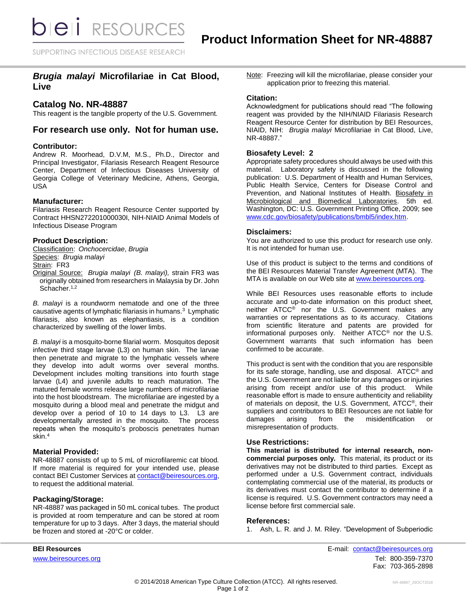**bieli** RESOURCES

SUPPORTING INFECTIOUS DISEASE RESEARCH

# *Brugia malayi* **Microfilariae in Cat Blood, Live**

## **Catalog No. NR-48887**

This reagent is the tangible property of the U.S. Government.

## **For research use only. Not for human use.**

### **Contributor:**

Andrew R. Moorhead, D.V.M, M.S., Ph.D., Director and Principal Investigator, Filariasis Research Reagent Resource Center, Department of Infectious Diseases University of Georgia College of Veterinary Medicine, Athens, Georgia, USA

### **Manufacturer:**

Filariasis Research Reagent Resource Center supported by Contract HHSN272201000030I, NIH-NIAID Animal Models of Infectious Disease Program

## **Product Description:**

Classification: *Onchocercidae*, *Brugia* Species: *Brugia malayi* Strain: FR3

Original Source: *Brugia malayi (B. malayi),* strain FR3 was originally obtained from researchers in Malaysia by Dr. John Schacher.<sup>1,2</sup>

*B. malayi* is a roundworm nematode and one of the three causative agents of lymphatic filariasis in humans.<sup>3</sup> Lymphatic filariasis, also known as elephantiasis, is a condition characterized by swelling of the lower limbs.

*B. malayi* is a mosquito-borne filarial worm. Mosquitos deposit infective third stage larvae (L3) on human skin. The larvae then penetrate and migrate to the lymphatic vessels where they develop into adult worms over several months. Development includes molting transitions into fourth stage larvae (L4) and juvenile adults to reach maturation. The matured female worms release large numbers of microfilariae into the host bloodstream. The microfilariae are ingested by a mosquito during a blood meal and penetrate the midgut and develop over a period of 10 to 14 days to L3. L3 are developmentally arrested in the mosquito. The process repeats when the mosquito's proboscis penetrates human skin.<sup>4</sup>

## **Material Provided:**

NR-48887 consists of up to 5 mL of microfilaremic cat blood*.*  If more material is required for your intended use, please contact BEI Customer Services at [contact@beiresources.org,](mailto:contact@beiresources.org) to request the additional material*.*

## **Packaging/Storage:**

NR-48887 was packaged in 50 mL conical tubes. The product is provided at room temperature and can be stored at room temperature for up to 3 days. After 3 days, the material should be frozen and stored at -20°C or colder.

Note: Freezing will kill the microfilariae, please consider your application prior to freezing this material.

#### **Citation:**

Acknowledgment for publications should read "The following reagent was provided by the NIH/NIAID Filariasis Research Reagent Resource Center for distribution by BEI Resources, NIAID, NIH: *Brugia malayi* Microfilariae in Cat Blood, Live, NR-48887."

### **Biosafety Level: 2**

Appropriate safety procedures should always be used with this material. Laboratory safety is discussed in the following publication: U.S. Department of Health and Human Services, Public Health Service, Centers for Disease Control and Prevention, and National Institutes of Health. Biosafety in Microbiological and Biomedical Laboratories. 5th ed. Washington, DC: U.S. Government Printing Office, 2009; see [www.cdc.gov/biosafety/publications/bmbl5/index.htm.](http://www.cdc.gov/biosafety/publications/bmbl5/index.htm)

### **Disclaimers:**

You are authorized to use this product for research use only. It is not intended for human use.

Use of this product is subject to the terms and conditions of the BEI Resources Material Transfer Agreement (MTA). The MTA is available on our Web site at [www.beiresources.org.](http://www.beiresources.org/)

While BEI Resources uses reasonable efforts to include accurate and up-to-date information on this product sheet, neither ATCC® nor the U.S. Government makes any warranties or representations as to its accuracy. Citations from scientific literature and patents are provided for informational purposes only. Neither ATCC® nor the U.S. Government warrants that such information has been confirmed to be accurate.

This product is sent with the condition that you are responsible for its safe storage, handling, use and disposal. ATCC® and the U.S. Government are not liable for any damages or injuries arising from receipt and/or use of this product. While reasonable effort is made to ensure authenticity and reliability of materials on deposit, the U.S. Government, ATCC®, their suppliers and contributors to BEI Resources are not liable for<br>damages arising from the misidentification or damages arising from the misidentification or misrepresentation of products.

## **Use Restrictions:**

**This material is distributed for internal research, noncommercial purposes only.** This material, its product or its derivatives may not be distributed to third parties. Except as performed under a U.S. Government contract, individuals contemplating commercial use of the material, its products or its derivatives must contact the contributor to determine if a license is required. U.S. Government contractors may need a license before first commercial sale.

#### **References:**

1. Ash, L. R. and J. M. Riley. "Development of Subperiodic

**BEI Resources** E-mail: [contact@beiresources.org](mailto:contact@beiresources.org) [www.beiresources.org](http://www.beiresources.org/)Tel: 800-359-7370 Fax: 703-365-2898